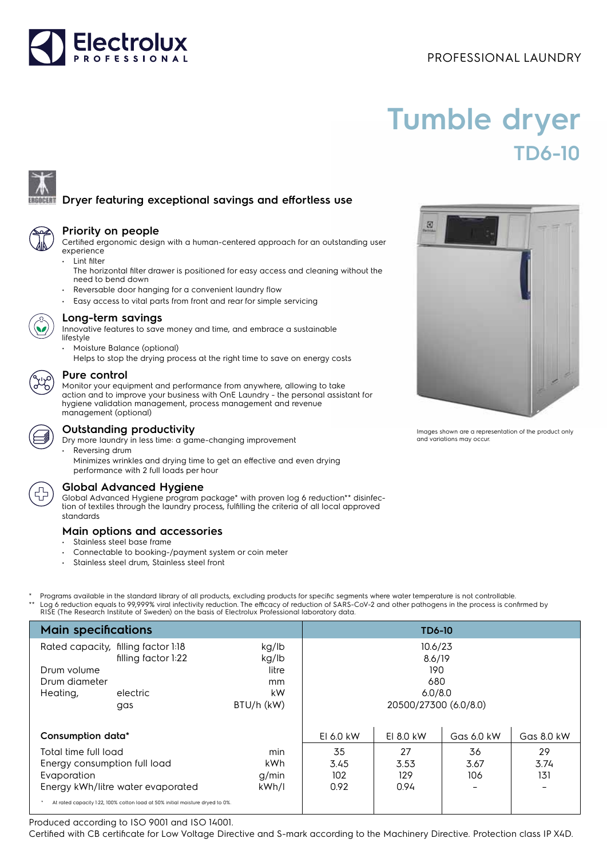## PROFESSIONAL LAUNDRY



# **Tumble dryer TD6-10**



# **Dryer featuring exceptional savings and effortless use**

#### **Priority on people**

Certified ergonomic design with a human-centered approach for an outstanding user experience

- Lint filter
	- The horizontal filter drawer is positioned for easy access and cleaning without the need to bend down
- Reversable door hanging for a convenient laundry flow
	- Easy access to vital parts from front and rear for simple servicing



#### **Long-term savings**

Innovative features to save money and time, and embrace a sustainable lifestyle

- Moisture Balance (optional)
	- Helps to stop the drying process at the right time to save on energy costs

#### **Pure control**

Monitor your equipment and performance from anywhere, allowing to take action and to improve your business with OnE Laundry - the personal assistant for hygiene validation management, process management and revenue management (optional)



#### **Outstanding productivity**

Dry more laundry in less time: a game-changing improvement

- Reversing drum
	- Minimizes wrinkles and drying time to get an effective and even drying performance with 2 full loads per hour

### **Global Advanced Hygiene**

Global Advanced Hygiene program package\* with proven log 6 reduction\*\* disinfection of textiles through the laundry process, fulfilling the criteria of all local approved standards

#### **Main options and accessories**

- Stainless steel base frame
- Connectable to booking-/payment system or coin meter
- Stainless steel drum, Stainless steel front
- Programs available in the standard library of all products, excluding products for specific segments where water temperature is not controllable. \*\* Log 6 reduction equals to 99,999% viral infectivity reduction. The efficacy of reduction of SARS-CoV-2 and other pathogens in the process is confirmed by<br>RISE (The Research Institute of Sweden) on the basis of Electrolu

| <b>Main specifications</b>                                                                                                                                                                |                                                                               |                                                   | <b>TD6-10</b>                                                       |                           |                                               |                                               |
|-------------------------------------------------------------------------------------------------------------------------------------------------------------------------------------------|-------------------------------------------------------------------------------|---------------------------------------------------|---------------------------------------------------------------------|---------------------------|-----------------------------------------------|-----------------------------------------------|
| Drum volume<br>Drum diameter<br>Heating,                                                                                                                                                  | Rated capacity, filling factor 1:18<br>filling factor 1:22<br>electric<br>gas | kg/lb<br>kg/lb<br>litre<br>mm<br>kW<br>BTU/h (kW) | 10.6/23<br>8.6/19<br>190<br>680<br>6.0/8.0<br>20500/27300 (6.0/8.0) |                           |                                               |                                               |
| Consumption data*                                                                                                                                                                         |                                                                               |                                                   | EI 6.0 kW                                                           | EI 8.0 kW                 | Gas 6.0 kW                                    | Gas 8.0 kW                                    |
| Total time full load<br>Energy consumption full load<br>Evaporation<br>Energy kWh/litre water evaporated<br>At rated capacity 1:22, 100% cotton load at 50% initial moisture dryed to 0%. |                                                                               | min<br>kWh<br>g/min<br>kWh/l                      | 35<br>3.45<br>102<br>0.92                                           | 27<br>3.53<br>129<br>0.94 | 36<br>3.67<br>106<br>$\overline{\phantom{0}}$ | 29<br>3.74<br>131<br>$\overline{\phantom{a}}$ |

Produced according to ISO 9001 and ISO 14001.

Certified with CB certificate for Low Voltage Directive and S-mark according to the Machinery Directive. Protection class IP X4D.



Images shown are a representation of the product only and variations may occur.